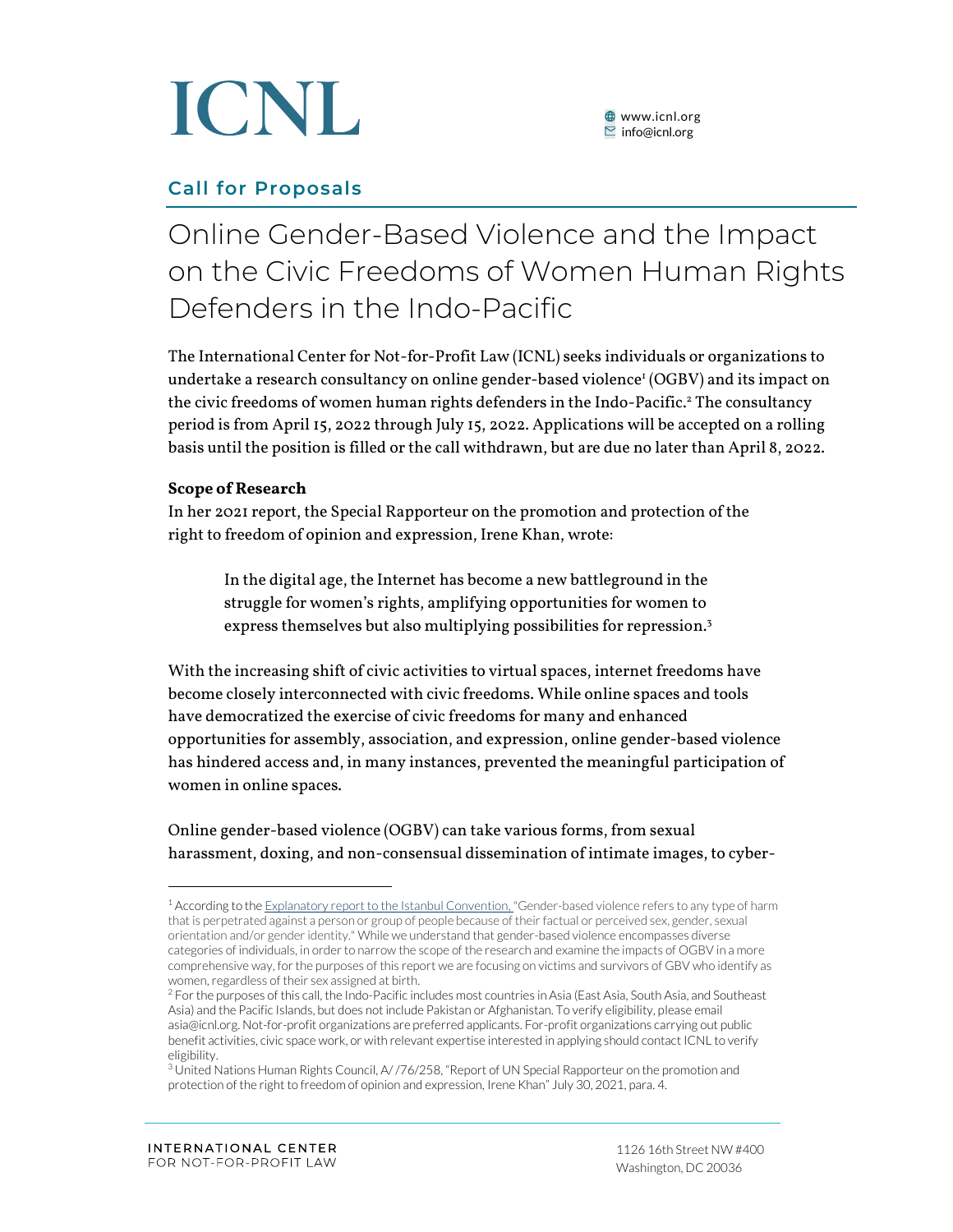

#### **Call for Proposals**

### Online Gender-Based Violence and the Impact on the Civic Freedoms of Women Human Rights Defenders in the Indo-Pacific

The International Center for Not-for-Profit Law (ICNL) seeks individuals or organizations to undertake a research consultancy on online gender-based violence' (OGBV) and its impact on the civic freedoms of women human rights defenders in the Indo-Pacific. <sup>2</sup> The consultancy period is from April 15, 2022 through July 15, 2022. Applications will be accepted on a rolling basis until the position is filled or the call withdrawn, but are due no later than April 8, 2022.

#### **Scope of Research**

In her 2021 report, the Special Rapporteur on the promotion and protection of the right to freedom of opinion and expression, Irene Khan, wrote:

In the digital age, the Internet has become a new battleground in the struggle for women's rights, amplifying opportunities for women to express themselves but also multiplying possibilities for repression.<sup>3</sup>

With the increasing shift of civic activities to virtual spaces, internet freedoms have become closely interconnected with civic freedoms. While online spaces and tools have democratized the exercise of civic freedoms for many and enhanced opportunities for assembly, association, and expression, online gender-based violence has hindered access and, in many instances, prevented the meaningful participation of women in online spaces.

Online gender-based violence (OGBV) can take various forms, from sexual harassment, doxing, and non-consensual dissemination of intimate images, to cyber-

<sup>&</sup>lt;sup>1</sup> According to th[e Explanatory report to the Istanbul Convention,](https://rm.coe.int/16800d383a) "Gender-based violence refers to any type of harm that is perpetrated against a person or group of people because of their factual or perceived sex, gender, sexual orientation and/or gender identity." While we understand that gender-based violence encompasses diverse categories of individuals, in order to narrow the scope of the research and examine the impacts of OGBV in a more comprehensive way, for the purposes of this report we are focusing on victims and survivors of GBV who identify as women, regardless of their sex assigned at birth.

<sup>&</sup>lt;sup>2</sup> For the purposes of this call, the Indo-Pacific includes most countries in Asia (East Asia, South Asia, and Southeast Asia) and the Pacific Islands, but does not include Pakistan or Afghanistan. To verify eligibility, please email asia@icnl.org. Not-for-profit organizations are preferred applicants. For-profit organizations carrying out public benefit activities, civic space work, or with relevant expertise interested in applying should contact ICNL to verify eligibility.

<sup>&</sup>lt;sup>3</sup> United Nations Human Rights Council, A/ /76/258, "Report of UN Special Rapporteur on the promotion and protection of the right to freedom of opinion and expression, Irene Khan" July 30, 2021, para. 4.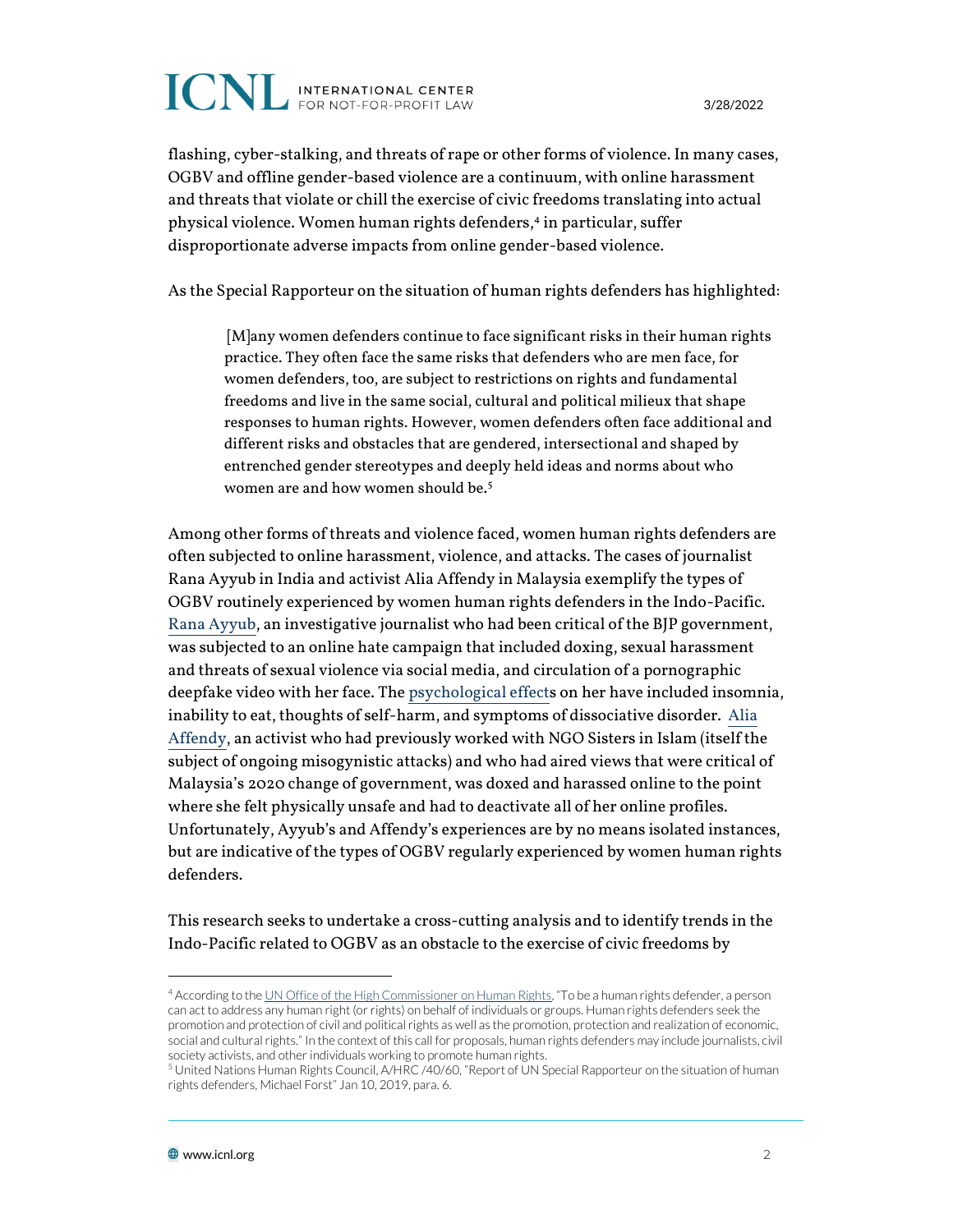## **ICNL** INTERNATIONAL CENTER

3/28/2022

flashing, cyber-stalking, and threats of rape or other forms of violence. In many cases, OGBV and offline gender-based violence are a continuum, with online harassment and threats that violate or chill the exercise of civic freedoms translating into actual physical violence. Women human rights defenders,<sup>4</sup> in particular, suffer disproportionate adverse impacts from online gender-based violence.

As the Special Rapporteur on the situation of human rights defenders has highlighted:

[M]any women defenders continue to face significant risks in their human rights practice. They often face the same risks that defenders who are men face, for women defenders, too, are subject to restrictions on rights and fundamental freedoms and live in the same social, cultural and political milieux that shape responses to human rights. However, women defenders often face additional and different risks and obstacles that are gendered, intersectional and shaped by entrenched gender stereotypes and deeply held ideas and norms about who women are and how women should be. 5

Among other forms of threats and violence faced, women human rights defenders are often subjected to online harassment, violence, and attacks. The cases of journalist Rana Ayyub in India and activist Alia Affendy in Malaysia exemplify the types of OGBV routinely experienced by women human rights defenders in the Indo-Pacific. [Rana Ayyub,](https://www.aljazeera.com/news/2022/2/21/india-journalist-ayyub-faces-judicial-harassment-un-experts) an investigative journalist who had been critical of the BJP government, was subjected to an online hate campaign that included doxing, sexual harassment and threats of sexual violence via social media, and circulation of a pornographic deepfake video with her face. Th[e psychological effects](https://www.theguardian.com/world/2022/feb/27/reviled-harassed-abused-narenda-modis-most-trenchant-critic-speaks-out) on her have included insomnia, inability to eat, thoughts of self-harm, and symptoms of dissociative disorder. [Alia](https://www.thestar.com.my/lifestyle/family/2021/12/08/addressing-online-misogyny-and-harassment)  [Affendy,](https://www.thestar.com.my/lifestyle/family/2021/12/08/addressing-online-misogyny-and-harassment) an activist who had previously worked with NGO Sisters in Islam (itself the subject of ongoing misogynistic attacks) and who had aired views that were critical of Malaysia's 2020 change of government, was doxed and harassed online to the point where she felt physically unsafe and had to deactivate all of her online profiles. Unfortunately, Ayyub's and Affendy's experiences are by no means isolated instances, but are indicative of the types of OGBV regularly experienced by women human rights defenders.

This research seeks to undertake a cross-cutting analysis and to identify trends in the Indo-Pacific related to OGBV as an obstacle to the exercise of civic freedoms by

<sup>4</sup> According to th[e UN Office of the High Commissioner on Human Rights](https://www.ohchr.org/en/issues/srhrdefenders/pages/defender.aspx#:~:text=To%20be%20a%20human%20rights,economic%2C%20social%20and%20cultural%20rights.), "To be a human rights defender, a person can act to address any human right (or rights) on behalf of individuals or groups. Human rights defenders seek the promotion and protection of civil and political rights as well as the promotion, protection and realization of economic, social and cultural rights." In the context of this call for proposals, human rights defenders may include journalists, civil society activists, and other individuals working to promote human rights.

<sup>5</sup> United Nations Human Rights Council, A/HRC /40/60, "Report of UN Special Rapporteur on the situation of human rights defenders, Michael Forst" Jan 10, 2019, para. 6.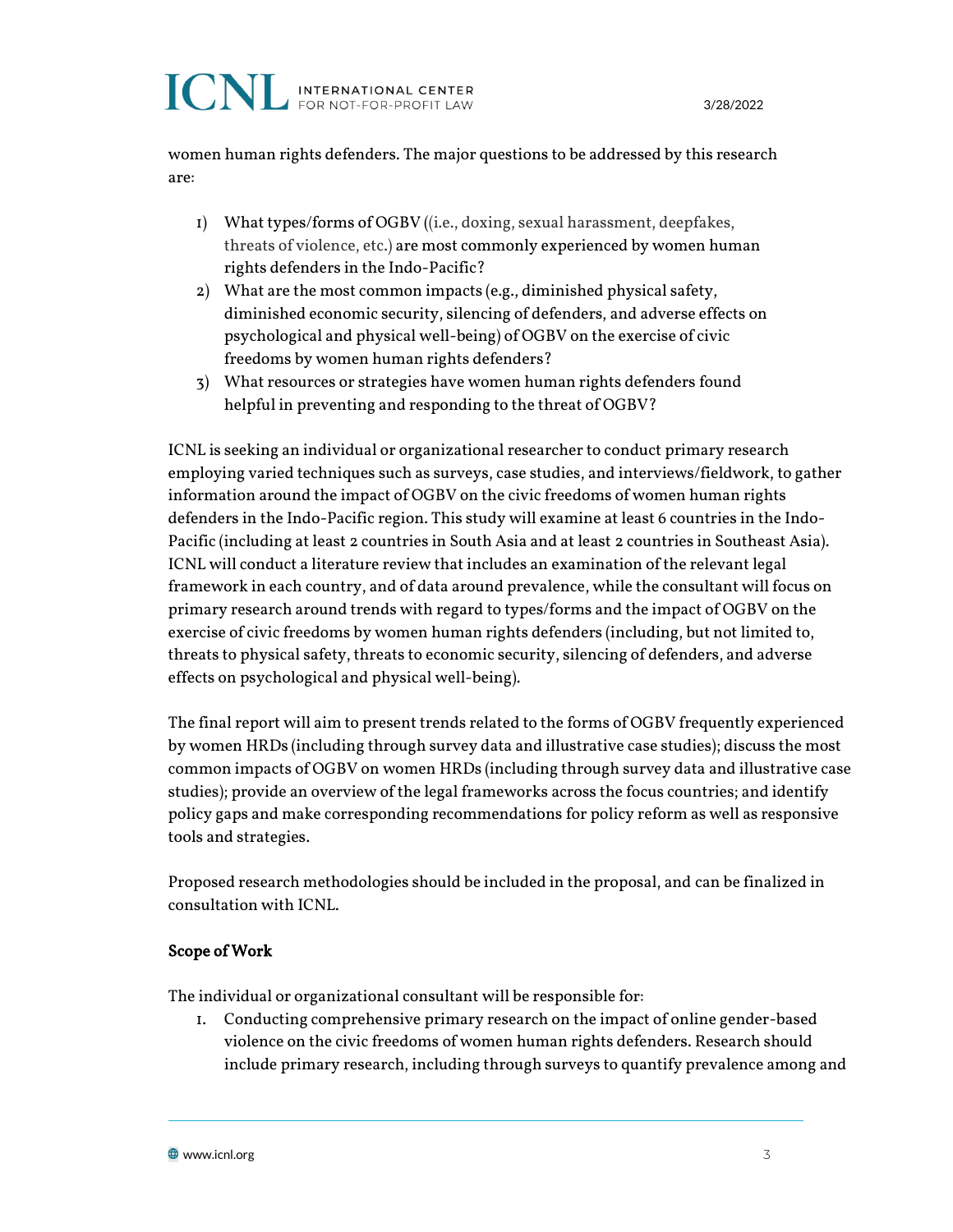women human rights defenders. The major questions to be addressed by this research are:

- 1) What types/forms of OGBV ((i.e., doxing, sexual harassment, deepfakes, threats of violence, etc.) are most commonly experienced by women human rights defenders in the Indo-Pacific?
- 2) What are the most common impacts (e.g., diminished physical safety, diminished economic security, silencing of defenders, and adverse effects on psychological and physical well-being) of OGBV on the exercise of civic freedoms by women human rights defenders?
- 3) What resources or strategies have women human rights defenders found helpful in preventing and responding to the threat of OGBV?

ICNL is seeking an individual or organizational researcher to conduct primary research employing varied techniques such as surveys, case studies, and interviews/fieldwork, to gather information around the impact of OGBV on the civic freedoms of women human rights defenders in the Indo-Pacific region. This study will examine at least 6 countries in the Indo-Pacific (including at least 2 countries in South Asia and at least 2 countries in Southeast Asia). ICNL will conduct a literature review that includes an examination of the relevant legal framework in each country, and of data around prevalence, while the consultant will focus on primary research around trends with regard to types/forms and the impact of OGBV on the exercise of civic freedoms by women human rights defenders (including, but not limited to, threats to physical safety, threats to economic security, silencing of defenders, and adverse effects on psychological and physical well-being).

The final report will aim to present trends related to the forms of OGBV frequently experienced by women HRDs (including through survey data and illustrative case studies); discuss the most common impacts of OGBV on women HRDs (including through survey data and illustrative case studies); provide an overview of the legal frameworks across the focus countries; and identify policy gaps and make corresponding recommendations for policy reform as well as responsive tools and strategies.

Proposed research methodologies should be included in the proposal, and can be finalized in consultation with ICNL.

#### Scope of Work

The individual or organizational consultant will be responsible for:

1. Conducting comprehensive primary research on the impact of online gender-based violence on the civic freedoms of women human rights defenders. Research should include primary research, including through surveys to quantify prevalence among and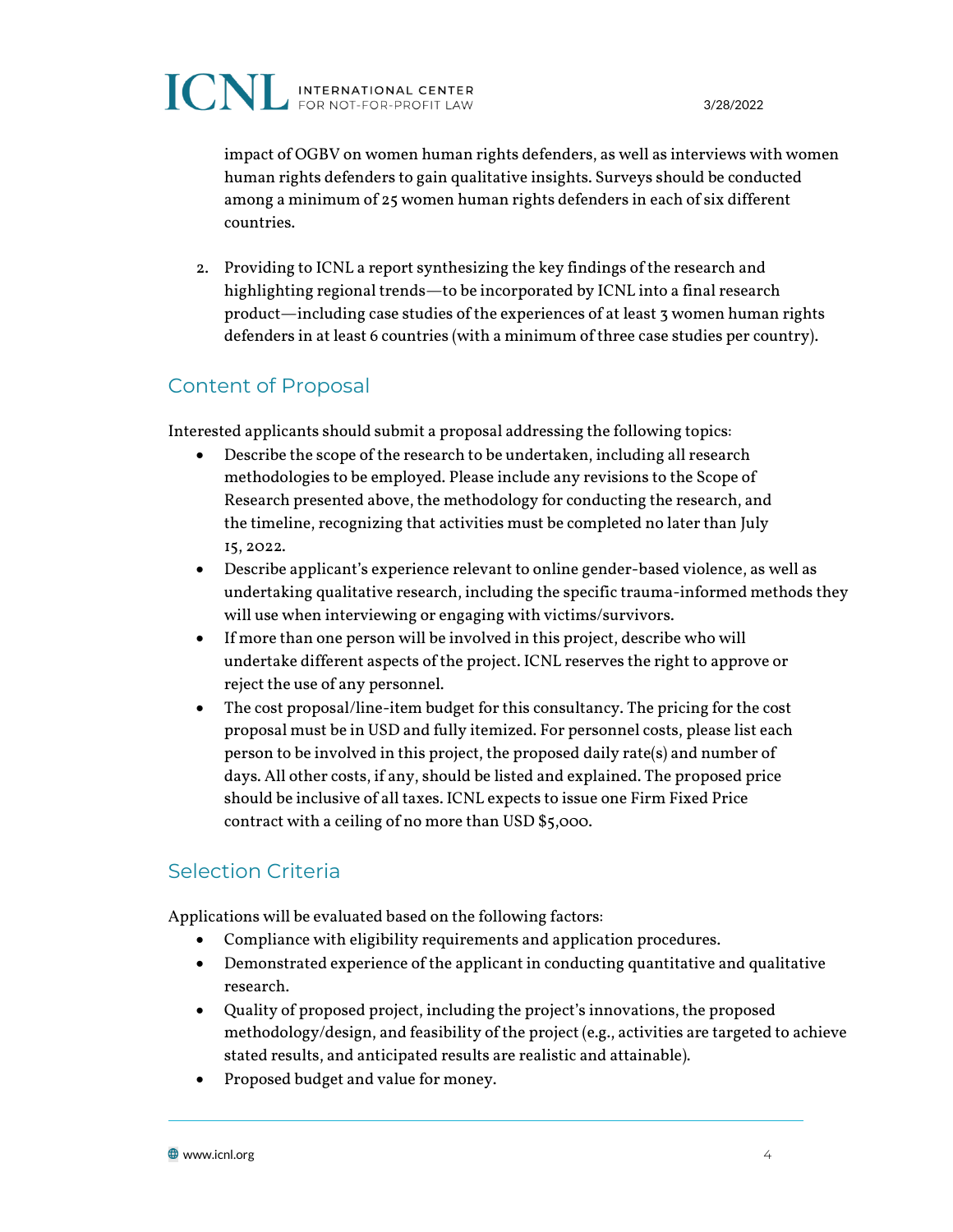impact of OGBV on women human rights defenders, as well as interviews with women human rights defenders to gain qualitative insights. Surveys should be conducted among a minimum of 25 women human rights defenders in each of six different countries.

2. Providing to ICNL a report synthesizing the key findings of the research and highlighting regional trends—to be incorporated by ICNL into a final research product—including case studies of the experiences of at least 3 women human rights defenders in at least 6 countries (with a minimum of three case studies per country).

#### Content of Proposal

Interested applicants should submit a proposal addressing the following topics:

- Describe the scope of the research to be undertaken, including all research methodologies to be employed. Please include any revisions to the Scope of Research presented above, the methodology for conducting the research, and the timeline, recognizing that activities must be completed no later than July 15, 2022.
- Describe applicant's experience relevant to online gender-based violence, as well as undertaking qualitative research, including the specific trauma-informed methods they will use when interviewing or engaging with victims/survivors.
- If more than one person will be involved in this project, describe who will undertake different aspects of the project. ICNL reserves the right to approve or reject the use of any personnel.
- The cost proposal/line-item budget for this consultancy. The pricing for the cost proposal must be in USD and fully itemized. For personnel costs, please list each person to be involved in this project, the proposed daily rate(s) and number of days. All other costs, if any, should be listed and explained. The proposed price should be inclusive of all taxes. ICNL expects to issue one Firm Fixed Price contract with a ceiling of no more than USD \$5,000.

#### Selection Criteria

Applications will be evaluated based on the following factors:

- Compliance with eligibility requirements and application procedures.
- Demonstrated experience of the applicant in conducting quantitative and qualitative research.
- Quality of proposed project, including the project's innovations, the proposed methodology/design, and feasibility of the project (e.g., activities are targeted to achieve stated results, and anticipated results are realistic and attainable).
- Proposed budget and value for money.